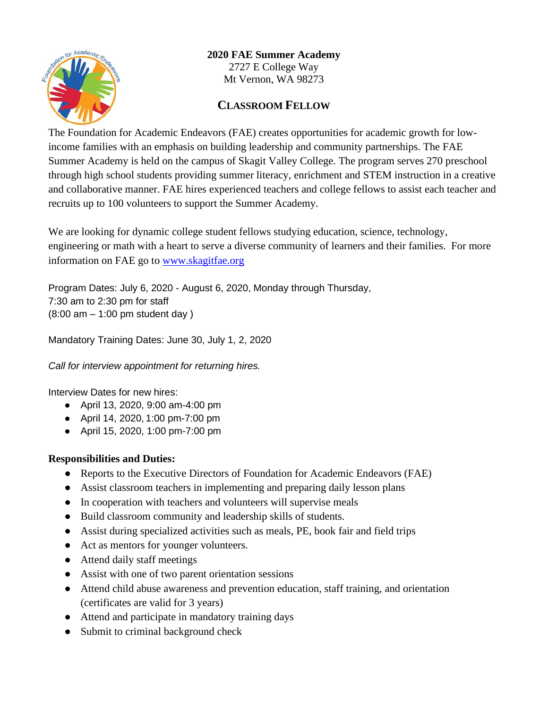

# **2020 FAE Summer Academy**

2727 E College Way Mt Vernon, WA 98273

## **CLASSROOM FELLOW**

The Foundation for Academic Endeavors (FAE) creates opportunities for academic growth for lowincome families with an emphasis on building leadership and community partnerships. The FAE Summer Academy is held on the campus of Skagit Valley College. The program serves 270 preschool through high school students providing summer literacy, enrichment and STEM instruction in a creative and collaborative manner. FAE hires experienced teachers and college fellows to assist each teacher and recruits up to 100 volunteers to support the Summer Academy.

We are looking for dynamic college student fellows studying education, science, technology, engineering or math with a heart to serve a diverse community of learners and their families. For more information on FAE go to [www.skagitfae.org](http://www.skagitfae.org/)

Program Dates: July 6, 2020 - August 6, 2020, Monday through Thursday, 7:30 am to 2:30 pm for staff (8:00 am – 1:00 pm student day )

Mandatory Training Dates: June 30, July 1, 2, 2020

*Call for interview appointment for returning hires.*

Interview Dates for new hires:

- April 13, 2020, 9:00 am-4:00 pm
- April 14, 2020, 1:00 pm-7:00 pm
- April 15, 2020, 1:00 pm-7:00 pm

#### **Responsibilities and Duties:**

- Reports to the Executive Directors of Foundation for Academic Endeavors (FAE)
- Assist classroom teachers in implementing and preparing daily lesson plans
- In cooperation with teachers and volunteers will supervise meals
- Build classroom community and leadership skills of students.
- Assist during specialized activities such as meals, PE, book fair and field trips
- Act as mentors for younger volunteers.
- Attend daily staff meetings
- Assist with one of two parent orientation sessions
- Attend child abuse awareness and prevention education, staff training, and orientation (certificates are valid for 3 years)
- Attend and participate in mandatory training days
- Submit to criminal background check